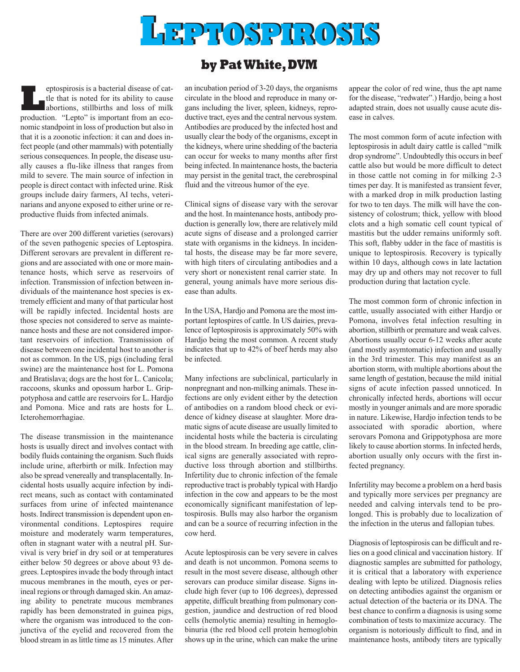

## **by PatWhite,DVM**

**Leptospirosis is a bacterial disease of cat-**<br>the that is noted for its ability to cause<br>abortions, stillbirths and loss of milk<br>production "I ento" is important from an ecotle that is noted for its ability to cause production. "Lepto" is important from an economic standpoint in loss of production but also in that it is a zoonotic infection: it can and does infect people (and other mammals) with potentially serious consequences. In people, the disease usually causes a flu-like illness that ranges from mild to severe. The main source of infection in people is direct contact with infected urine. Risk groups include dairy farmers, AI techs, veterinarians and anyone exposed to either urine or reproductive fluids from infected animals.

There are over 200 different varieties (serovars) of the seven pathogenic species of Leptospira. Different serovars are prevalent in different regions and are associated with one or more maintenance hosts, which serve as reservoirs of infection. Transmission of infection between individuals of the maintenance host species is extremely efficient and many of that particular host will be rapidly infected. Incidental hosts are those species not considered to serve as maintenance hosts and these are not considered important reservoirs of infection. Transmission of disease between one incidental host to another is not as common. In the US, pigs (including feral swine) are the maintenance host for L. Pomona and Bratislava; dogs are the host for L. Canicola; raccoons, skunks and opossum harbor L. Grippotyphosa and cattle are reservoirs for L. Hardjo and Pomona. Mice and rats are hosts for L. Icterohemorrhagiae.

The disease transmission in the maintenance hosts is usually direct and involves contact with bodily fluids containing the organism. Such fluids include urine, afterbirth or milk. Infection may also be spread venereally and transplacentally. Incidental hosts usually acquire infection by indirect means, such as contact with contaminated surfaces from urine of infected maintenance hosts. Indirect transmission is dependent upon environmental conditions. Leptospires require moisture and moderately warm temperatures, often in stagnant water with a neutral pH. Survival is very brief in dry soil or at temperatures either below 50 degrees or above about 93 degrees. Leptospires invade the body through intact mucous membranes in the mouth, eyes or perineal regions or through damaged skin.An amazing ability to penetrate mucous membranes rapidly has been demonstrated in guinea pigs, where the organism was introduced to the conjunctiva of the eyelid and recovered from the blood stream in as little time as 15 minutes.After

an incubation period of 3-20 days, the organisms circulate in the blood and reproduce in many organs including the liver, spleen, kidneys, reproductive tract, eyes and the central nervous system. Antibodies are produced by the infected host and usually clear the body of the organisms, except in the kidneys, where urine shedding of the bacteria can occur for weeks to many months after first being infected. In maintenance hosts, the bacteria may persist in the genital tract, the cerebrospinal fluid and the vitreous humor of the eye.

Clinical signs of disease vary with the serovar and the host. In maintenance hosts, antibody production is generally low, there are relatively mild acute signs of disease and a prolonged carrier state with organisms in the kidneys. In incidental hosts, the disease may be far more severe, with high titers of circulating antibodies and a very short or nonexistent renal carrier state. In general, young animals have more serious disease than adults.

In the USA, Hardjo and Pomona are the most important leptospires of cattle. In US dairies, prevalence of leptospirosis is approximately 50% with Hardjo being the most common. A recent study indicates that up to 42% of beef herds may also be infected.

Many infections are subclinical, particularly in nonpregnant and non-milking animals. These infections are only evident either by the detection of antibodies on a random blood check or evidence of kidney disease at slaughter. More dramatic signs of acute disease are usually limited to incidental hosts while the bacteria is circulating in the blood stream. In breeding age cattle, clinical signs are generally associated with reproductive loss through abortion and stillbirths. Infertility due to chronic infection of the female reproductive tract is probably typical with Hardjo infection in the cow and appears to be the most economically significant manifestation of leptospirosis. Bulls may also harbor the organism and can be a source of recurring infection in the cow herd.

Acute leptospirosis can be very severe in calves and death is not uncommon. Pomona seems to result in the most severe disease, although other serovars can produce similar disease. Signs include high fever (up to 106 degrees), depressed appetite, difficult breathing from pulmonary congestion, jaundice and destruction of red blood cells (hemolytic anemia) resulting in hemoglobinuria (the red blood cell protein hemoglobin shows up in the urine, which can make the urine appear the color of red wine, thus the apt name for the disease, "redwater".) Hardjo, being a host adapted strain, does not usually cause acute disease in calves.

The most common form of acute infection with leptospirosis in adult dairy cattle is called "milk drop syndrome". Undoubtedly this occurs in beef cattle also but would be more difficult to detect in those cattle not coming in for milking 2-3 times per day. It is manifested as transient fever, with a marked drop in milk production lasting for two to ten days. The milk will have the consistency of colostrum; thick, yellow with blood clots and a high somatic cell count typical of mastitis but the udder remains uniformly soft. This soft, flabby udder in the face of mastitis is unique to leptospirosis. Recovery is typically within 10 days, although cows in late lactation may dry up and others may not recover to full production during that lactation cycle.

The most common form of chronic infection in cattle, usually associated with either Hardjo or Pomona, involves fetal infection resulting in abortion, stillbirth or premature and weak calves. Abortions usually occur 6-12 weeks after acute (and mostly asymtomatic) infection and usually in the 3rd trimester. This may manifest as an abortion storm, with multiple abortions about the same length of gestation, because the mild initial signs of acute infection passed unnoticed. In chronically infected herds, abortions will occur mostly in younger animals and are more sporadic in nature. Likewise, Hardjo infection tends to be associated with sporadic abortion, where serovars Pomona and Grippotyphosa are more likely to cause abortion storms. In infected herds, abortion usually only occurs with the first infected pregnancy.

Infertility may become a problem on a herd basis and typically more services per pregnancy are needed and calving intervals tend to be prolonged. This is probably due to localization of the infection in the uterus and fallopian tubes.

Diagnosis of leptospirosis can be difficult and relies on a good clinical and vaccination history. If diagnostic samples are submitted for pathology, it is critical that a laboratory with experience dealing with lepto be utilized. Diagnosis relies on detecting antibodies against the organism or actual detection of the bacteria or its DNA. The best chance to confirm a diagnosis is using some combination of tests to maximize accuracy. The organism is notoriously difficult to find, and in maintenance hosts, antibody titers are typically